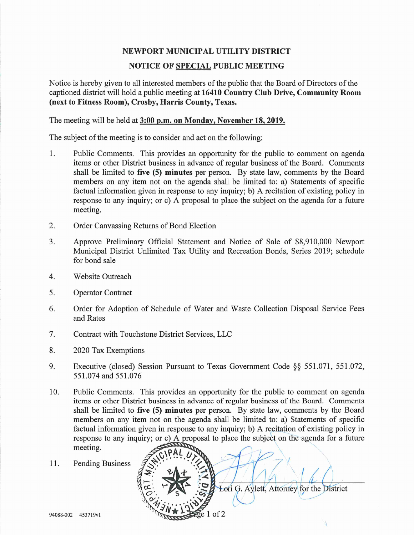## NEWPORT MUNICIPAL UTILITY DISTRICT

#### NOTICE OF SPECIAL PUBLIC MEETING

Notice is hereby given to all interested members of the public that the Board of Directors of the captioned district will hold a public meeting at 16410 Country Club Drive, Community Room (next to Fitness Room), Crosby, Harris County, Texas.

The meeting will be held at 3:00 p.m. on Monday, November 18,2019.

The subject of the meeting is to consider and act on the following:

- 1. Public Comments. This provides an opportunity for the public to comment on agenda items or other District business in advance of regular business of the Board. Comments shall be limited to five (5) minutes per person. By state law, comments by the Board members on any item not on the agenda shall be limited to: a) Statements of specific factual information given in response to any inquiry; b) A recitation of existing policy in response to any inquiry; or c) A proposal to place the subject on the agenda for a future meeting.
- 2. Order Canvassing Returns of Bond Election
- 3. Approve Preliminary Official Statement and Notice of Sale of \$8,910,000 Newport Municipal District Unlimited Tax Utility and Recreation Bonds, Series 2019; schedule for bond sale
- 4. Website Outreach
- 5. Operator Contract
- 6. Order for Adoption of Schedule of Water and Waste Collection Disposal Service Fees and Rates
- 7. Contract with Touchstone District Services, LLC
- 8. 2020 Tax Exemptions
- 9. Executive (closed) Session Pursuant to Texas Government Code §§ 551.071, 551.072, 551.074 and 551.076
- 10. Public Comments. This provides an opportunity for the public to comment on agenda items or other District business in advance of regular business of the Board. Comments shall be limited to five (5) minutes per person. By state law, comments by the Board members on any item not on the agenda shall be limited to: a) Statements of specific factual information given in response to any inquiry; b) A recitation of existing policy in response to any inquiry; or c) A proposal to place the subject on the agenda for a future meeting.

Lori G. Aylett, Attorney for the District

11. Pending Business